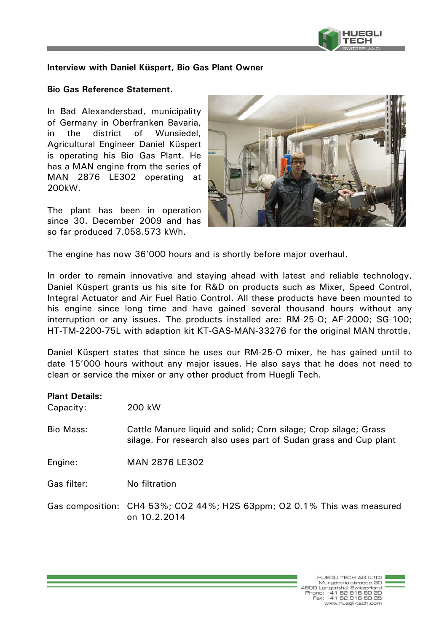

## **Interview with Daniel Küspert, Bio Gas Plant Owner**

## **Bio Gas Reference Statement.**

In Bad Alexandersbad, municipality of Germany in Oberfranken Bavaria, in the district of Wunsiedel, Agricultural Engineer Daniel Küspert is operating his Bio Gas Plant. He has a MAN engine from the series of MAN 2876 LE302 operating at 200kW.

The plant has been in operation since 30. December 2009 and has so far produced 7.058.573 kWh.



The engine has now 36'000 hours and is shortly before major overhaul.

In order to remain innovative and staying ahead with latest and reliable technology, Daniel Küspert grants us his site for R&D on products such as Mixer, Speed Control, Integral Actuator and Air Fuel Ratio Control. All these products have been mounted to his engine since long time and have gained several thousand hours without any interruption or any issues. The products installed are: RM-25-O; AF-2000; SG-100; HT-TM-2200-75L with adaption kit KT-GAS-MAN-33276 for the original MAN throttle.

Daniel Küspert states that since he uses our RM-25-O mixer, he has gained until to date 15'000 hours without any major issues. He also says that he does not need to clean or service the mixer or any other product from Huegli Tech.

## **Plant Details:**

| Capacity:        | 200 kW                                                                                                                              |
|------------------|-------------------------------------------------------------------------------------------------------------------------------------|
| <b>Bio Mass:</b> | Cattle Manure liquid and solid; Corn silage; Crop silage; Grass<br>silage. For research also uses part of Sudan grass and Cup plant |
| Engine:          | <b>MAN 2876 LE302</b>                                                                                                               |
| Gas filter:      | No filtration                                                                                                                       |
|                  | Gas composition: CH4 53%; CO2 44%; H2S 63ppm; O2 0.1% This was measured<br>on 10.2.2014                                             |

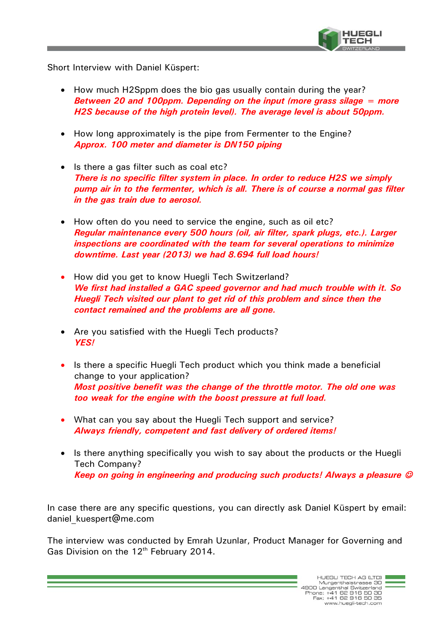

Short Interview with Daniel Küspert:

- How much H2Sppm does the bio gas usually contain during the year? *Between 20 and 100ppm. Depending on the input (more grass silage = more H2S because of the high protein level). The average level is about 50ppm.*
- How long approximately is the pipe from Fermenter to the Engine? *Approx. 100 meter and diameter is DN150 piping*
- Is there a gas filter such as coal etc? *There is no specific filter system in place. In order to reduce H2S we simply pump air in to the fermenter, which is all. There is of course a normal gas filter in the gas train due to aerosol.*
- How often do you need to service the engine, such as oil etc? *Regular maintenance every 500 hours (oil, air filter, spark plugs, etc.). Larger inspections are coordinated with the team for several operations to minimize downtime. Last year (2013) we had 8.694 full load hours!*
- How did you get to know Huegli Tech Switzerland? *We first had installed a GAC speed governor and had much trouble with it. So Huegli Tech visited our plant to get rid of this problem and since then the contact remained and the problems are all gone.*
- Are you satisfied with the Huegli Tech products? *YES!*
- Is there a specific Huegli Tech product which you think made a beneficial change to your application? *Most positive benefit was the change of the throttle motor. The old one was too weak for the engine with the boost pressure at full load.*
- What can you say about the Huegli Tech support and service? *Always friendly, competent and fast delivery of ordered items!*
- Is there anything specifically you wish to say about the products or the Huegli Tech Company? *Keep on going in engineering and producing such products! Always a pleasure*

In case there are any specific questions, you can directly ask Daniel Küspert by email: daniel\_kuespert@me.com

The interview was conducted by Emrah Uzunlar, Product Manager for Governing and Gas Division on the  $12<sup>th</sup>$  February 2014.